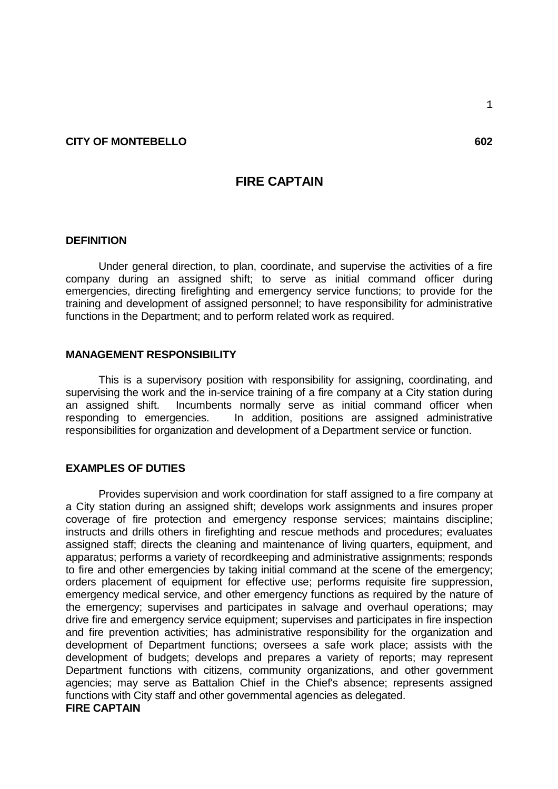### **CITY OF MONTEBELLO** 602

# **FIRE CAPTAIN**

### **DEFINITION**

Under general direction, to plan, coordinate, and supervise the activities of a fire company during an assigned shift; to serve as initial command officer during emergencies, directing firefighting and emergency service functions; to provide for the training and development of assigned personnel; to have responsibility for administrative functions in the Department; and to perform related work as required.

### **MANAGEMENT RESPONSIBILITY**

This is a supervisory position with responsibility for assigning, coordinating, and supervising the work and the in-service training of a fire company at a City station during an assigned shift. Incumbents normally serve as initial command officer when responding to emergencies. In addition, positions are assigned administrative responsibilities for organization and development of a Department service or function.

### **EXAMPLES OF DUTIES**

Provides supervision and work coordination for staff assigned to a fire company at a City station during an assigned shift; develops work assignments and insures proper coverage of fire protection and emergency response services; maintains discipline; instructs and drills others in firefighting and rescue methods and procedures; evaluates assigned staff; directs the cleaning and maintenance of living quarters, equipment, and apparatus; performs a variety of recordkeeping and administrative assignments; responds to fire and other emergencies by taking initial command at the scene of the emergency; orders placement of equipment for effective use; performs requisite fire suppression, emergency medical service, and other emergency functions as required by the nature of the emergency; supervises and participates in salvage and overhaul operations; may drive fire and emergency service equipment; supervises and participates in fire inspection and fire prevention activities; has administrative responsibility for the organization and development of Department functions; oversees a safe work place; assists with the development of budgets; develops and prepares a variety of reports; may represent Department functions with citizens, community organizations, and other government agencies; may serve as Battalion Chief in the Chief's absence; represents assigned functions with City staff and other governmental agencies as delegated.

## **FIRE CAPTAIN**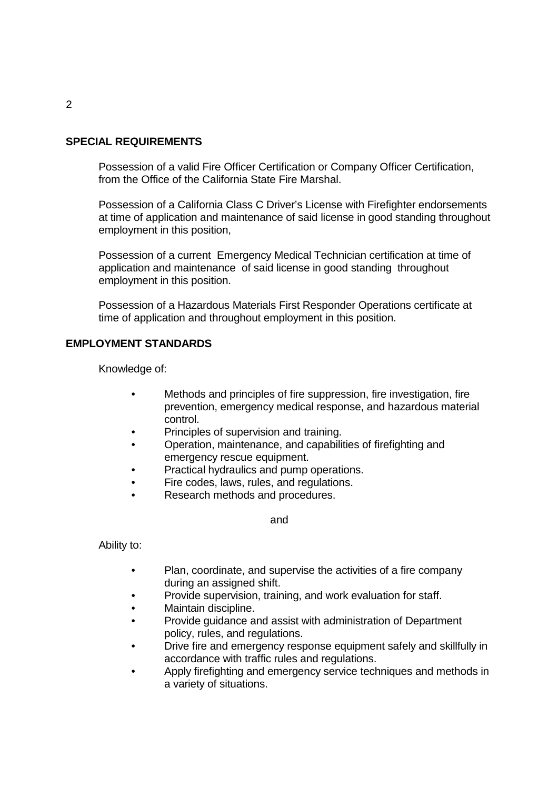### **SPECIAL REQUIREMENTS**

Possession of a valid Fire Officer Certification or Company Officer Certification, from the Office of the California State Fire Marshal.

Possession of a California Class C Driver's License with Firefighter endorsements at time of application and maintenance of said license in good standing throughout employment in this position,

Possession of a current Emergency Medical Technician certification at time of application and maintenance of said license in good standing throughout employment in this position.

Possession of a Hazardous Materials First Responder Operations certificate at time of application and throughout employment in this position.

### **EMPLOYMENT STANDARDS**

Knowledge of:

- Methods and principles of fire suppression, fire investigation, fire prevention, emergency medical response, and hazardous material control.
- Principles of supervision and training.
- Operation, maintenance, and capabilities of firefighting and emergency rescue equipment.
- Practical hydraulics and pump operations.
- Fire codes, laws, rules, and regulations.
- Research methods and procedures.

and

Ability to:

- Plan, coordinate, and supervise the activities of a fire company during an assigned shift.
- Provide supervision, training, and work evaluation for staff.
- Maintain discipline.
- Provide guidance and assist with administration of Department policy, rules, and regulations.
- Drive fire and emergency response equipment safely and skillfully in accordance with traffic rules and regulations.
- Apply firefighting and emergency service techniques and methods in a variety of situations.